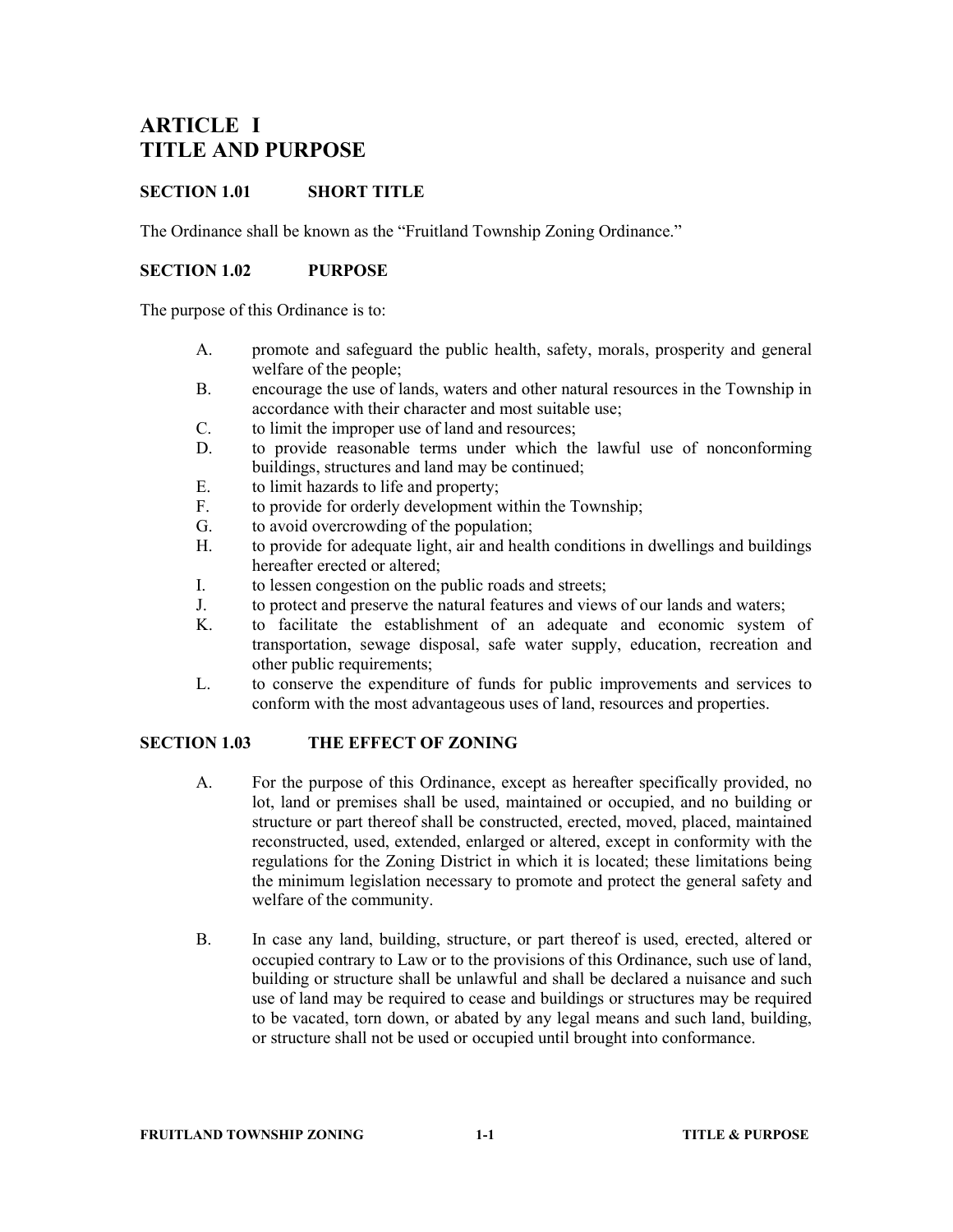# ARTICLE I TITLE AND PURPOSE

## SECTION 1.01 SHORT TITLE

The Ordinance shall be known as the "Fruitland Township Zoning Ordinance."

### SECTION 1.02 PURPOSE

The purpose of this Ordinance is to:

- A. promote and safeguard the public health, safety, morals, prosperity and general welfare of the people;
- B. encourage the use of lands, waters and other natural resources in the Township in accordance with their character and most suitable use;
- C. to limit the improper use of land and resources;
- D. to provide reasonable terms under which the lawful use of nonconforming buildings, structures and land may be continued;
- E. to limit hazards to life and property;
- F. to provide for orderly development within the Township;
- G. to avoid overcrowding of the population;
- H. to provide for adequate light, air and health conditions in dwellings and buildings hereafter erected or altered;
- I. to lessen congestion on the public roads and streets;
- J. to protect and preserve the natural features and views of our lands and waters;
- K. to facilitate the establishment of an adequate and economic system of transportation, sewage disposal, safe water supply, education, recreation and other public requirements;
- L. to conserve the expenditure of funds for public improvements and services to conform with the most advantageous uses of land, resources and properties.

### SECTION 1.03 THE EFFECT OF ZONING

- A. For the purpose of this Ordinance, except as hereafter specifically provided, no lot, land or premises shall be used, maintained or occupied, and no building or structure or part thereof shall be constructed, erected, moved, placed, maintained reconstructed, used, extended, enlarged or altered, except in conformity with the regulations for the Zoning District in which it is located; these limitations being the minimum legislation necessary to promote and protect the general safety and welfare of the community.
- B. In case any land, building, structure, or part thereof is used, erected, altered or occupied contrary to Law or to the provisions of this Ordinance, such use of land, building or structure shall be unlawful and shall be declared a nuisance and such use of land may be required to cease and buildings or structures may be required to be vacated, torn down, or abated by any legal means and such land, building, or structure shall not be used or occupied until brought into conformance.